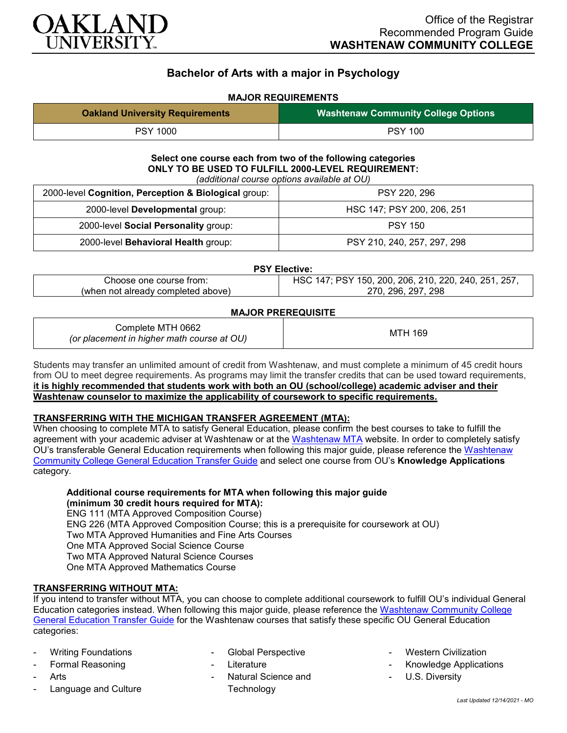

# **Bachelor of Arts with a major in Psychology**

# **MAJOR REQUIREMENTS**

| <b>Oakland University Requirements</b> | <b>Washtenaw Community College Options</b> |
|----------------------------------------|--------------------------------------------|
| <b>PSY 1000</b>                        | <b>PSY 100</b>                             |

# **Select one course each from two of the following categories ONLY TO BE USED TO FULFILL 2000-LEVEL REQUIREMENT:**

*(additional course options available at OU)*

| 2000-level Cognition, Perception & Biological group: | PSY 220, 296                |
|------------------------------------------------------|-----------------------------|
| 2000-level Developmental group:                      | HSC 147; PSY 200, 206, 251  |
| 2000-level Social Personality group:                 | <b>PSY 150</b>              |
| 2000-level Behavioral Health group:                  | PSY 210, 240, 257, 297, 298 |

#### **PSY Elective:**

| Choose one course from:            | ′ 150, 200, 206, 210, 220, 240, 251, 257,<br><b>PSY</b><br>14. |
|------------------------------------|----------------------------------------------------------------|
| (when not already completed above) | 296, 297, 298<br>27N.                                          |

#### **MAJOR PREREQUISITE**

| Complete MTH 0662<br>(or placement in higher math course at OU) | MTH 169 |
|-----------------------------------------------------------------|---------|
|-----------------------------------------------------------------|---------|

Students may transfer an unlimited amount of credit from Washtenaw, and must complete a minimum of 45 credit hours from OU to meet degree requirements. As programs may limit the transfer credits that can be used toward requirements, **it is highly recommended that students work with both an OU (school/college) academic adviser and their Washtenaw counselor to maximize the applicability of coursework to specific requirements.**

## **TRANSFERRING WITH THE MICHIGAN TRANSFER AGREEMENT (MTA):**

When choosing to complete MTA to satisfy General Education, please confirm the best courses to take to fulfill the agreement with your academic adviser at Washtenaw or at the [Washtenaw MTA](https://www.wccnet.edu/learn/transfer-wcc-credits/mta.php) website. In order to completely satisfy OU's transferable General Education requirements when following this major guide, please reference the [Washtenaw](https://www.oakland.edu/Assets/Oakland/program-guides/washtenaw-community-college/university-general-education-requirements/Washtenaw%20Gen%20Ed.pdf)  [Community College General Education Transfer Guide](https://www.oakland.edu/Assets/Oakland/program-guides/washtenaw-community-college/university-general-education-requirements/Washtenaw%20Gen%20Ed.pdf) and select one course from OU's **Knowledge Applications** category.

## **Additional course requirements for MTA when following this major guide**

**(minimum 30 credit hours required for MTA):**

ENG 111 (MTA Approved Composition Course) ENG 226 (MTA Approved Composition Course; this is a prerequisite for coursework at OU) Two MTA Approved Humanities and Fine Arts Courses One MTA Approved Social Science Course Two MTA Approved Natural Science Courses One MTA Approved Mathematics Course

## **TRANSFERRING WITHOUT MTA:**

If you intend to transfer without MTA, you can choose to complete additional coursework to fulfill OU's individual General Education categories instead. When following this major guide, please reference the [Washtenaw Community College](https://www.oakland.edu/Assets/Oakland/program-guides/washtenaw-community-college/university-general-education-requirements/Washtenaw%20Gen%20Ed.pdf)  [General Education Transfer Guide](https://www.oakland.edu/Assets/Oakland/program-guides/washtenaw-community-college/university-general-education-requirements/Washtenaw%20Gen%20Ed.pdf) for the Washtenaw courses that satisfy these specific OU General Education categories:

- Writing Foundations
- Formal Reasoning
- Arts
- Language and Culture
- Global Perspective
- **Literature**
- Natural Science and **Technology**
- **Western Civilization**
- Knowledge Applications
- U.S. Diversity